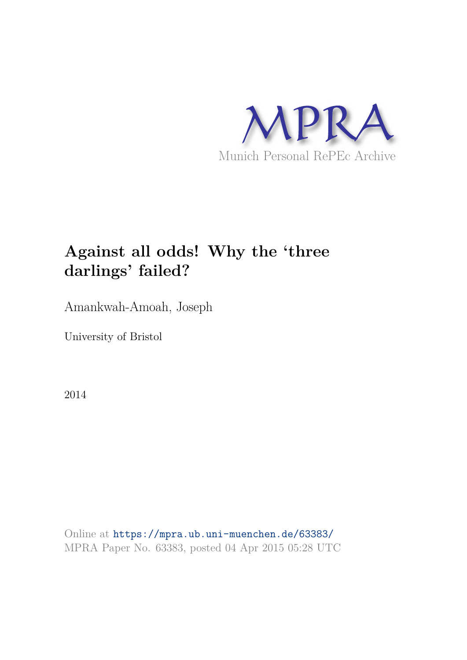

## **Against all odds! Why the 'three darlings' failed?**

Amankwah-Amoah, Joseph

University of Bristol

2014

Online at https://mpra.ub.uni-muenchen.de/63383/ MPRA Paper No. 63383, posted 04 Apr 2015 05:28 UTC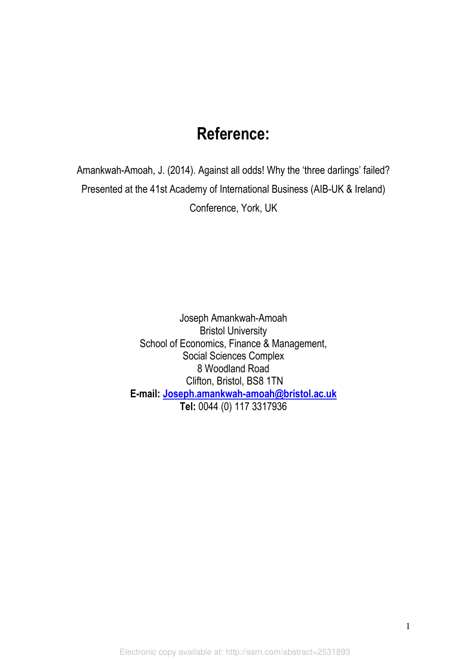# **Reference:**

Amankwah-Amoah, J. (2014). Against all odds! Why the 'three darlings' failed? Presented at the 41st Academy of International Business (AIB-UK & Ireland) Conference, York, UK

> Joseph Amankwah-Amoah Bristol University School of Economics, Finance & Management, Social Sciences Complex 8 Woodland Road Clifton, Bristol, BS8 1TN **E-mail: [Joseph.amankwah-amoah@bristol.ac.uk](mailto:Joseph.amankwah-amoah@bristol.ac.uk) Tel:** 0044 (0) 117 3317936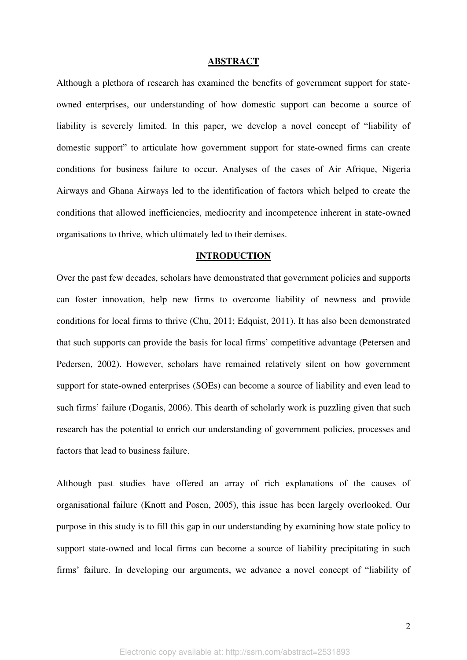#### **ABSTRACT**

Although a plethora of research has examined the benefits of government support for stateowned enterprises, our understanding of how domestic support can become a source of liability is severely limited. In this paper, we develop a novel concept of "liability of domestic support" to articulate how government support for state-owned firms can create conditions for business failure to occur. Analyses of the cases of Air Afrique, Nigeria Airways and Ghana Airways led to the identification of factors which helped to create the conditions that allowed inefficiencies, mediocrity and incompetence inherent in state-owned organisations to thrive, which ultimately led to their demises.

## **INTRODUCTION**

Over the past few decades, scholars have demonstrated that government policies and supports can foster innovation, help new firms to overcome liability of newness and provide conditions for local firms to thrive (Chu, 2011; Edquist, 2011). It has also been demonstrated that such supports can provide the basis for local firms' competitive advantage (Petersen and Pedersen, 2002). However, scholars have remained relatively silent on how government support for state-owned enterprises (SOEs) can become a source of liability and even lead to such firms' failure (Doganis, 2006). This dearth of scholarly work is puzzling given that such research has the potential to enrich our understanding of government policies, processes and factors that lead to business failure.

Although past studies have offered an array of rich explanations of the causes of organisational failure (Knott and Posen, 2005), this issue has been largely overlooked. Our purpose in this study is to fill this gap in our understanding by examining how state policy to support state-owned and local firms can become a source of liability precipitating in such firms' failure. In developing our arguments, we advance a novel concept of "liability of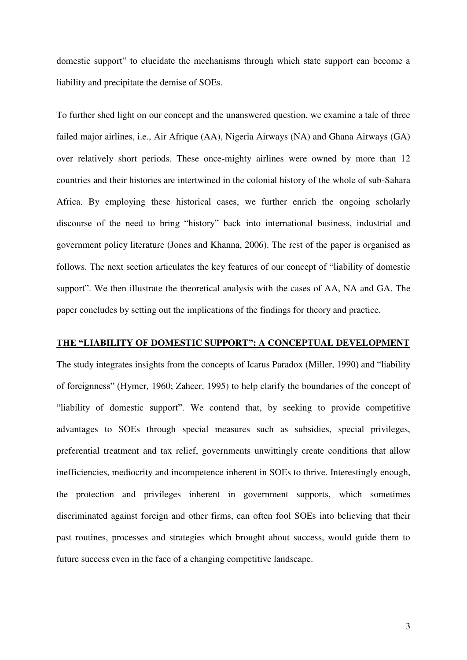domestic support" to elucidate the mechanisms through which state support can become a liability and precipitate the demise of SOEs.

To further shed light on our concept and the unanswered question, we examine a tale of three failed major airlines, i.e., Air Afrique (AA), Nigeria Airways (NA) and Ghana Airways (GA) over relatively short periods. These once-mighty airlines were owned by more than 12 countries and their histories are intertwined in the colonial history of the whole of sub-Sahara Africa. By employing these historical cases, we further enrich the ongoing scholarly discourse of the need to bring "history" back into international business, industrial and government policy literature (Jones and Khanna, 2006). The rest of the paper is organised as follows. The next section articulates the key features of our concept of "liability of domestic support". We then illustrate the theoretical analysis with the cases of AA, NA and GA. The paper concludes by setting out the implications of the findings for theory and practice.

## **THE "LIABILITY OF DOMESTIC SUPPORT": A CONCEPTUAL DEVELOPMENT**

The study integrates insights from the concepts of Icarus Paradox (Miller, 1990) and "liability of foreignness" (Hymer, 1960; Zaheer, 1995) to help clarify the boundaries of the concept of "liability of domestic support". We contend that, by seeking to provide competitive advantages to SOEs through special measures such as subsidies, special privileges, preferential treatment and tax relief, governments unwittingly create conditions that allow inefficiencies, mediocrity and incompetence inherent in SOEs to thrive. Interestingly enough, the protection and privileges inherent in government supports, which sometimes discriminated against foreign and other firms, can often fool SOEs into believing that their past routines, processes and strategies which brought about success, would guide them to future success even in the face of a changing competitive landscape.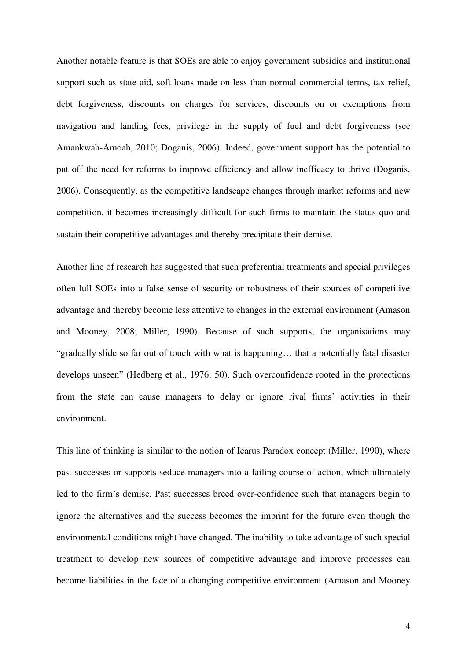Another notable feature is that SOEs are able to enjoy government subsidies and institutional support such as state aid, soft loans made on less than normal commercial terms, tax relief, debt forgiveness, discounts on charges for services, discounts on or exemptions from navigation and landing fees, privilege in the supply of fuel and debt forgiveness (see Amankwah-Amoah, 2010; Doganis, 2006). Indeed, government support has the potential to put off the need for reforms to improve efficiency and allow inefficacy to thrive (Doganis, 2006). Consequently, as the competitive landscape changes through market reforms and new competition, it becomes increasingly difficult for such firms to maintain the status quo and sustain their competitive advantages and thereby precipitate their demise.

Another line of research has suggested that such preferential treatments and special privileges often lull SOEs into a false sense of security or robustness of their sources of competitive advantage and thereby become less attentive to changes in the external environment (Amason and Mooney, 2008; Miller, 1990). Because of such supports, the organisations may "gradually slide so far out of touch with what is happening… that a potentially fatal disaster develops unseen" (Hedberg et al., 1976: 50). Such overconfidence rooted in the protections from the state can cause managers to delay or ignore rival firms' activities in their environment.

This line of thinking is similar to the notion of Icarus Paradox concept (Miller, 1990), where past successes or supports seduce managers into a failing course of action, which ultimately led to the firm's demise. Past successes breed over-confidence such that managers begin to ignore the alternatives and the success becomes the imprint for the future even though the environmental conditions might have changed. The inability to take advantage of such special treatment to develop new sources of competitive advantage and improve processes can become liabilities in the face of a changing competitive environment (Amason and Mooney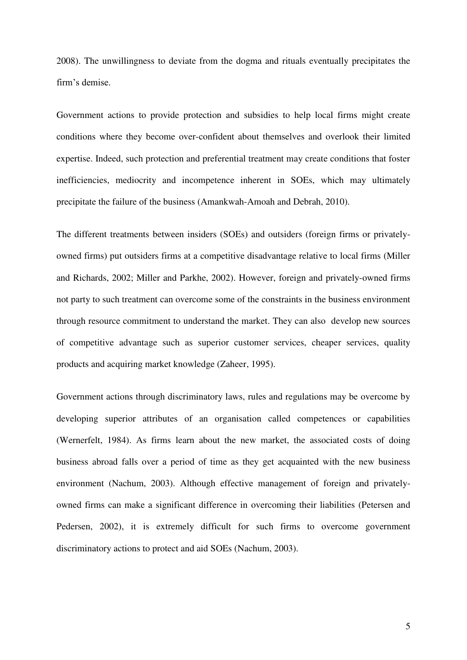2008). The unwillingness to deviate from the dogma and rituals eventually precipitates the firm's demise.

Government actions to provide protection and subsidies to help local firms might create conditions where they become over-confident about themselves and overlook their limited expertise. Indeed, such protection and preferential treatment may create conditions that foster inefficiencies, mediocrity and incompetence inherent in SOEs, which may ultimately precipitate the failure of the business (Amankwah-Amoah and Debrah, 2010).

The different treatments between insiders (SOEs) and outsiders (foreign firms or privatelyowned firms) put outsiders firms at a competitive disadvantage relative to local firms (Miller and Richards, 2002; Miller and Parkhe, 2002). However, foreign and privately-owned firms not party to such treatment can overcome some of the constraints in the business environment through resource commitment to understand the market. They can also develop new sources of competitive advantage such as superior customer services, cheaper services, quality products and acquiring market knowledge (Zaheer, 1995).

Government actions through discriminatory laws, rules and regulations may be overcome by developing superior attributes of an organisation called competences or capabilities (Wernerfelt, 1984). As firms learn about the new market, the associated costs of doing business abroad falls over a period of time as they get acquainted with the new business environment (Nachum, 2003). Although effective management of foreign and privatelyowned firms can make a significant difference in overcoming their liabilities (Petersen and Pedersen, 2002), it is extremely difficult for such firms to overcome government discriminatory actions to protect and aid SOEs (Nachum, 2003).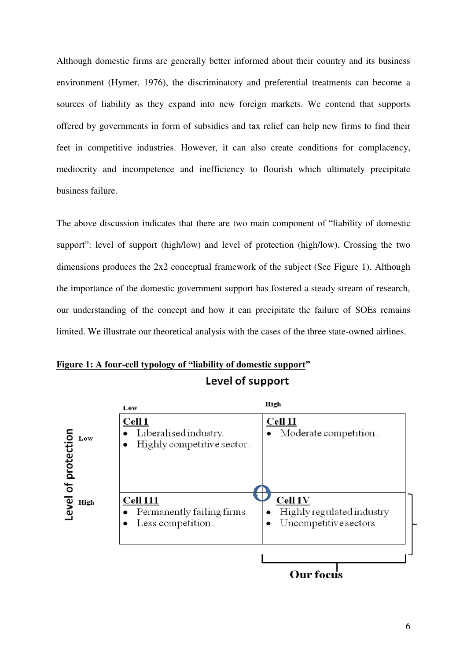Although domestic firms are generally better informed about their country and its business environment (Hymer, 1976), the discriminatory and preferential treatments can become a sources of liability as they expand into new foreign markets. We contend that supports offered by governments in form of subsidies and tax relief can help new firms to find their feet in competitive industries. However, it can also create conditions for complacency, mediocrity and incompetence and inefficiency to flourish which ultimately precipitate business failure.

The above discussion indicates that there are two main component of "liability of domestic support": level of support (high/low) and level of protection (high/low). Crossing the two dimensions produces the 2x2 conceptual framework of the subject (See Figure 1). Although the importance of the domestic government support has fostered a steady stream of research, our understanding of the concept and how it can precipitate the failure of SOEs remains limited. We illustrate our theoretical analysis with the cases of the three state-owned airlines.

## **Figure 1: A four-cell typology of "liability of domestic support"** Level of support

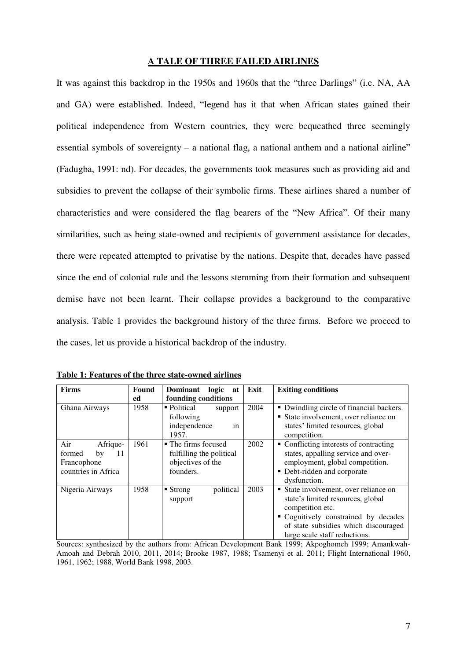## **A TALE OF THREE FAILED AIRLINES**

It was against this backdrop in the 1950s and 1960s that the "three Darlings" (i.e. NA, AA and GA) were established. Indeed, "legend has it that when African states gained their political independence from Western countries, they were bequeathed three seemingly essential symbols of sovereignty – a national flag, a national anthem and a national airline" (Fadugba, 1991: nd). For decades, the governments took measures such as providing aid and subsidies to prevent the collapse of their symbolic firms. These airlines shared a number of characteristics and were considered the flag bearers of the "New Africa". Of their many similarities, such as being state-owned and recipients of government assistance for decades, there were repeated attempted to privatise by the nations. Despite that, decades have passed since the end of colonial rule and the lessons stemming from their formation and subsequent demise have not been learnt. Their collapse provides a background to the comparative analysis. Table 1 provides the background history of the three firms. Before we proceed to the cases, let us provide a historical backdrop of the industry.

| <b>Firms</b>                                                                | Found | Dominant<br>logic<br>at                                                           | Exit | <b>Exiting conditions</b>                                                                                                                                                                                       |
|-----------------------------------------------------------------------------|-------|-----------------------------------------------------------------------------------|------|-----------------------------------------------------------------------------------------------------------------------------------------------------------------------------------------------------------------|
|                                                                             | ed    | founding conditions                                                               |      |                                                                                                                                                                                                                 |
| Ghana Airways                                                               | 1958  | • Political<br>support<br>following<br>independence<br>in<br>1957.                | 2004 | • Dwindling circle of financial backers.<br>• State involvement, over reliance on<br>states' limited resources, global<br>competition.                                                                          |
| Air<br>Afrique-<br>formed<br>by<br>11<br>Francophone<br>countries in Africa | 1961  | • The firms focused<br>fulfilling the political<br>objectives of the<br>founders. | 2002 | • Conflicting interests of contracting<br>states, appalling service and over-<br>employment, global competition.<br>• Debt-ridden and corporate<br>dysfunction.                                                 |
| Nigeria Airways                                                             | 1958  | political<br>$\blacksquare$ Strong<br>support                                     | 2003 | • State involvement, over reliance on<br>state's limited resources, global<br>competition etc.<br>• Cognitively constrained by decades<br>of state subsidies which discouraged<br>large scale staff reductions. |

**Table 1: Features of the three state-owned airlines** 

Sources: synthesized by the authors from: African Development Bank 1999; Akpoghomeh 1999; Amankwah-Amoah and Debrah 2010, 2011, 2014; Brooke 1987, 1988; Tsamenyi et al. 2011; Flight International 1960, 1961, 1962; 1988, World Bank 1998, 2003.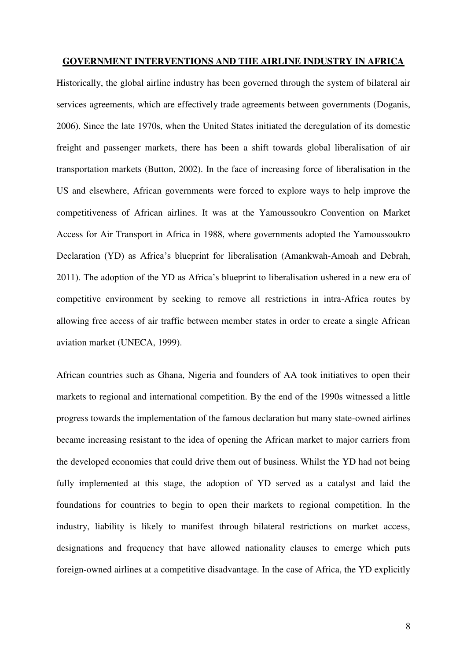### **GOVERNMENT INTERVENTIONS AND THE AIRLINE INDUSTRY IN AFRICA**

Historically, the global airline industry has been governed through the system of bilateral air services agreements, which are effectively trade agreements between governments (Doganis, 2006). Since the late 1970s, when the United States initiated the deregulation of its domestic freight and passenger markets, there has been a shift towards global liberalisation of air transportation markets (Button, 2002). In the face of increasing force of liberalisation in the US and elsewhere, African governments were forced to explore ways to help improve the competitiveness of African airlines. It was at the Yamoussoukro Convention on Market Access for Air Transport in Africa in 1988, where governments adopted the Yamoussoukro Declaration (YD) as Africa's blueprint for liberalisation (Amankwah-Amoah and Debrah, 2011). The adoption of the YD as Africa's blueprint to liberalisation ushered in a new era of competitive environment by seeking to remove all restrictions in intra-Africa routes by allowing free access of air traffic between member states in order to create a single African aviation market (UNECA, 1999).

African countries such as Ghana, Nigeria and founders of AA took initiatives to open their markets to regional and international competition. By the end of the 1990s witnessed a little progress towards the implementation of the famous declaration but many state-owned airlines became increasing resistant to the idea of opening the African market to major carriers from the developed economies that could drive them out of business. Whilst the YD had not being fully implemented at this stage, the adoption of YD served as a catalyst and laid the foundations for countries to begin to open their markets to regional competition. In the industry, liability is likely to manifest through bilateral restrictions on market access, designations and frequency that have allowed nationality clauses to emerge which puts foreign-owned airlines at a competitive disadvantage. In the case of Africa, the YD explicitly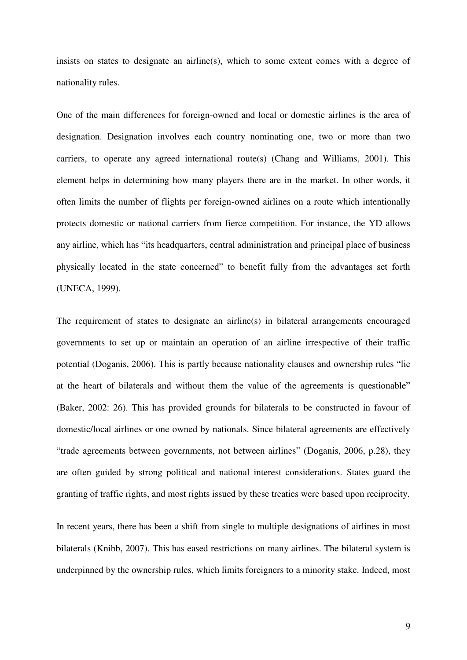insists on states to designate an airline(s), which to some extent comes with a degree of nationality rules.

One of the main differences for foreign-owned and local or domestic airlines is the area of designation. Designation involves each country nominating one, two or more than two carriers, to operate any agreed international route(s) (Chang and Williams, 2001). This element helps in determining how many players there are in the market. In other words, it often limits the number of flights per foreign-owned airlines on a route which intentionally protects domestic or national carriers from fierce competition. For instance, the YD allows any airline, which has "its headquarters, central administration and principal place of business physically located in the state concerned" to benefit fully from the advantages set forth (UNECA, 1999).

The requirement of states to designate an airline(s) in bilateral arrangements encouraged governments to set up or maintain an operation of an airline irrespective of their traffic potential (Doganis, 2006). This is partly because nationality clauses and ownership rules "lie at the heart of bilaterals and without them the value of the agreements is questionable" (Baker, 2002: 26). This has provided grounds for bilaterals to be constructed in favour of domestic/local airlines or one owned by nationals. Since bilateral agreements are effectively "trade agreements between governments, not between airlines" (Doganis, 2006, p.28), they are often guided by strong political and national interest considerations. States guard the granting of traffic rights, and most rights issued by these treaties were based upon reciprocity.

In recent years, there has been a shift from single to multiple designations of airlines in most bilaterals (Knibb, 2007). This has eased restrictions on many airlines. The bilateral system is underpinned by the ownership rules, which limits foreigners to a minority stake. Indeed, most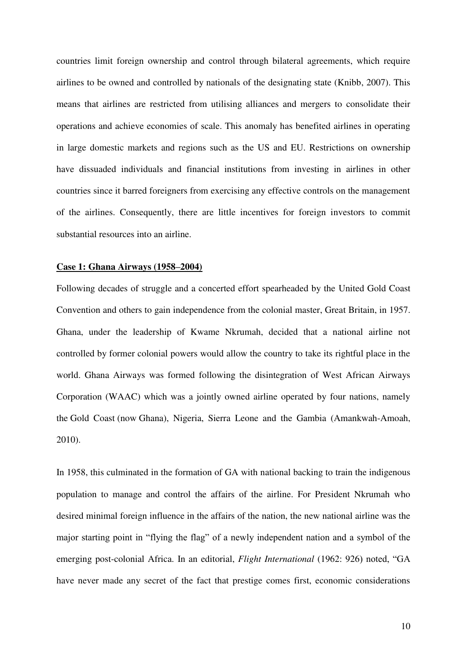countries limit foreign ownership and control through bilateral agreements, which require airlines to be owned and controlled by nationals of the designating state (Knibb, 2007). This means that airlines are restricted from utilising alliances and mergers to consolidate their operations and achieve economies of scale. This anomaly has benefited airlines in operating in large domestic markets and regions such as the US and EU. Restrictions on ownership have dissuaded individuals and financial institutions from investing in airlines in other countries since it barred foreigners from exercising any effective controls on the management of the airlines. Consequently, there are little incentives for foreign investors to commit substantial resources into an airline.

#### **Case 1: Ghana Airways (1958–2004)**

Following decades of struggle and a concerted effort spearheaded by the United Gold Coast Convention and others to gain independence from the colonial master, Great Britain, in 1957. Ghana, under the leadership of Kwame Nkrumah, decided that a national airline not controlled by former colonial powers would allow the country to take its rightful place in the world. Ghana Airways was formed following the disintegration of West African Airways Corporation (WAAC) which was a jointly owned airline operated by four nations, namely the Gold Coast (now Ghana), Nigeria, Sierra Leone and the Gambia (Amankwah-Amoah, 2010).

In 1958, this culminated in the formation of GA with national backing to train the indigenous population to manage and control the affairs of the airline. For President Nkrumah who desired minimal foreign influence in the affairs of the nation, the new national airline was the major starting point in "flying the flag" of a newly independent nation and a symbol of the emerging post-colonial Africa. In an editorial, *Flight International* (1962: 926) noted, "GA have never made any secret of the fact that prestige comes first, economic considerations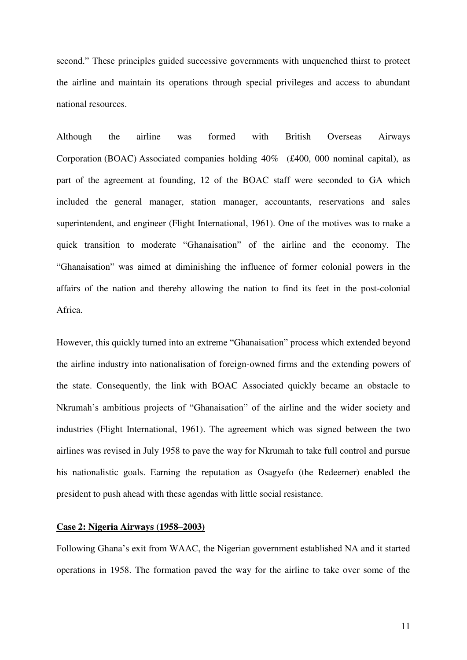second." These principles guided successive governments with unquenched thirst to protect the airline and maintain its operations through special privileges and access to abundant national resources.

Although the airline was formed with British Overseas Airways Corporation (BOAC) Associated companies holding 40% (£400, 000 nominal capital), as part of the agreement at founding, 12 of the BOAC staff were seconded to GA which included the general manager, station manager, accountants, reservations and sales superintendent, and engineer (Flight International, 1961). One of the motives was to make a quick transition to moderate "Ghanaisation" of the airline and the economy. The "Ghanaisation" was aimed at diminishing the influence of former colonial powers in the affairs of the nation and thereby allowing the nation to find its feet in the post-colonial Africa.

However, this quickly turned into an extreme "Ghanaisation" process which extended beyond the airline industry into nationalisation of foreign-owned firms and the extending powers of the state. Consequently, the link with BOAC Associated quickly became an obstacle to Nkrumah's ambitious projects of "Ghanaisation" of the airline and the wider society and industries (Flight International, 1961). The agreement which was signed between the two airlines was revised in July 1958 to pave the way for Nkrumah to take full control and pursue his nationalistic goals. Earning the reputation as Osagyefo (the Redeemer) enabled the president to push ahead with these agendas with little social resistance.

## **Case 2: Nigeria Airways (1958–2003)**

Following Ghana's exit from WAAC, the Nigerian government established NA and it started operations in 1958. The formation paved the way for the airline to take over some of the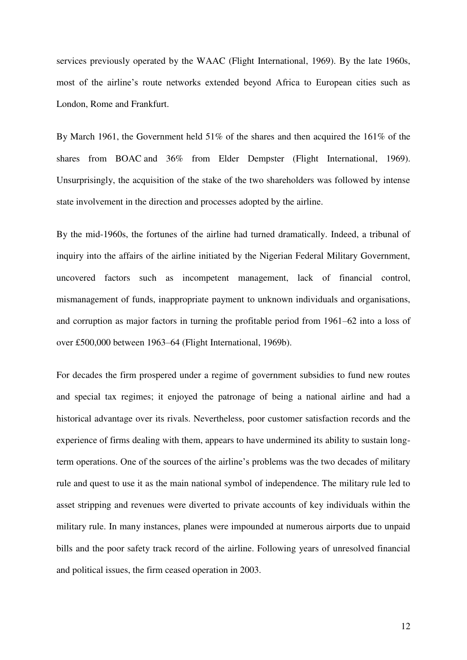services previously operated by the WAAC (Flight International, 1969). By the late 1960s, most of the airline's route networks extended beyond Africa to European cities such as London, Rome and Frankfurt.

By March 1961, the Government held 51% of the shares and then acquired the 161% of the shares from BOAC and 36% from Elder Dempster (Flight International, 1969). Unsurprisingly, the acquisition of the stake of the two shareholders was followed by intense state involvement in the direction and processes adopted by the airline.

By the mid-1960s, the fortunes of the airline had turned dramatically. Indeed, a tribunal of inquiry into the affairs of the airline initiated by the Nigerian Federal Military Government, uncovered factors such as incompetent management, lack of financial control, mismanagement of funds, inappropriate payment to unknown individuals and organisations, and corruption as major factors in turning the profitable period from 1961–62 into a loss of over £500,000 between 1963–64 (Flight International, 1969b).

For decades the firm prospered under a regime of government subsidies to fund new routes and special tax regimes; it enjoyed the patronage of being a national airline and had a historical advantage over its rivals. Nevertheless, poor customer satisfaction records and the experience of firms dealing with them, appears to have undermined its ability to sustain longterm operations. One of the sources of the airline's problems was the two decades of military rule and quest to use it as the main national symbol of independence. The military rule led to asset stripping and revenues were diverted to private accounts of key individuals within the military rule. In many instances, planes were impounded at numerous airports due to unpaid bills and the poor safety track record of the airline. Following years of unresolved financial and political issues, the firm ceased operation in 2003.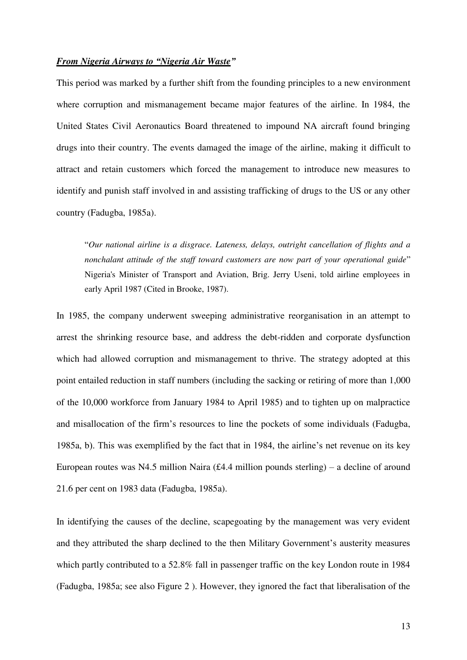### *From Nigeria Airways to "Nigeria Air Waste"*

This period was marked by a further shift from the founding principles to a new environment where corruption and mismanagement became major features of the airline. In 1984, the United States Civil Aeronautics Board threatened to impound NA aircraft found bringing drugs into their country. The events damaged the image of the airline, making it difficult to attract and retain customers which forced the management to introduce new measures to identify and punish staff involved in and assisting trafficking of drugs to the US or any other country (Fadugba, 1985a).

"*Our national airline is a disgrace. Lateness, delays, outright cancellation of flights and a nonchalant attitude of the staff toward customers are now part of your operational guide*" Nigeria's Minister of Transport and Aviation, Brig. Jerry Useni, told airline employees in early April 1987 (Cited in Brooke, 1987).

In 1985, the company underwent sweeping administrative reorganisation in an attempt to arrest the shrinking resource base, and address the debt-ridden and corporate dysfunction which had allowed corruption and mismanagement to thrive. The strategy adopted at this point entailed reduction in staff numbers (including the sacking or retiring of more than 1,000 of the 10,000 workforce from January 1984 to April 1985) and to tighten up on malpractice and misallocation of the firm's resources to line the pockets of some individuals (Fadugba, 1985a, b). This was exemplified by the fact that in 1984, the airline's net revenue on its key European routes was N4.5 million Naira (£4.4 million pounds sterling) – a decline of around 21.6 per cent on 1983 data (Fadugba, 1985a).

In identifying the causes of the decline, scapegoating by the management was very evident and they attributed the sharp declined to the then Military Government's austerity measures which partly contributed to a 52.8% fall in passenger traffic on the key London route in 1984 (Fadugba, 1985a; see also Figure 2 ). However, they ignored the fact that liberalisation of the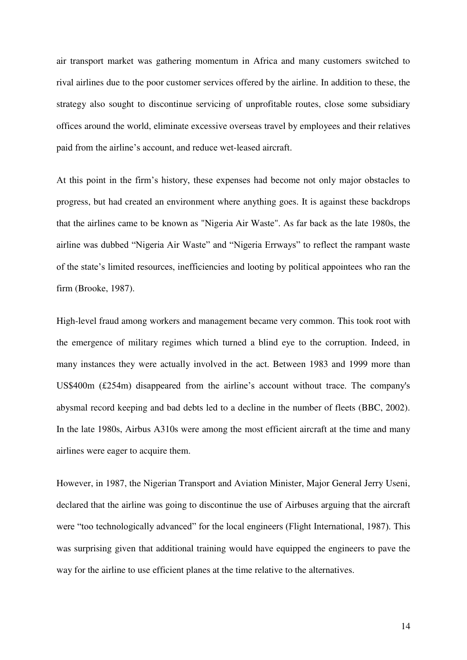air transport market was gathering momentum in Africa and many customers switched to rival airlines due to the poor customer services offered by the airline. In addition to these, the strategy also sought to discontinue servicing of unprofitable routes, close some subsidiary offices around the world, eliminate excessive overseas travel by employees and their relatives paid from the airline's account, and reduce wet-leased aircraft.

At this point in the firm's history, these expenses had become not only major obstacles to progress, but had created an environment where anything goes. It is against these backdrops that the airlines came to be known as "Nigeria Air Waste". As far back as the late 1980s, the airline was dubbed "Nigeria Air Waste" and "Nigeria Errways" to reflect the rampant waste of the state's limited resources, inefficiencies and looting by political appointees who ran the firm (Brooke, 1987).

High-level fraud among workers and management became very common. This took root with the emergence of military regimes which turned a blind eye to the corruption. Indeed, in many instances they were actually involved in the act. Between 1983 and 1999 more than US\$400m (£254m) disappeared from the airline's account without trace. The company's abysmal record keeping and bad debts led to a decline in the number of fleets (BBC, 2002). In the late 1980s, Airbus A310s were among the most efficient aircraft at the time and many airlines were eager to acquire them.

However, in 1987, the Nigerian Transport and Aviation Minister, Major General Jerry Useni, declared that the airline was going to discontinue the use of Airbuses arguing that the aircraft were "too technologically advanced" for the local engineers (Flight International, 1987). This was surprising given that additional training would have equipped the engineers to pave the way for the airline to use efficient planes at the time relative to the alternatives.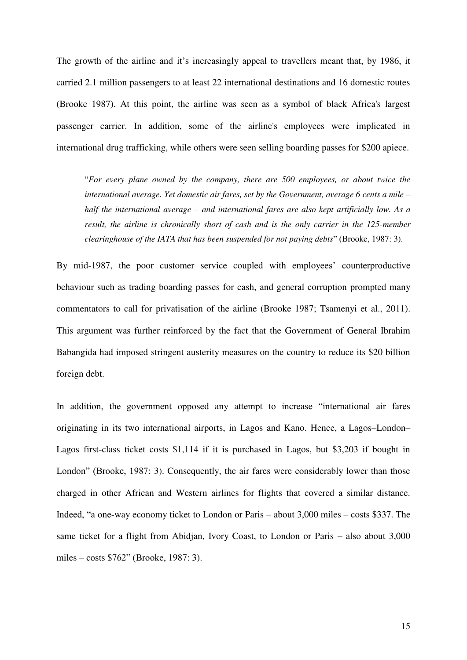The growth of the airline and it's increasingly appeal to travellers meant that, by 1986, it carried 2.1 million passengers to at least 22 international destinations and 16 domestic routes (Brooke 1987). At this point, the airline was seen as a symbol of black Africa's largest passenger carrier. In addition, some of the airline's employees were implicated in international drug trafficking, while others were seen selling boarding passes for \$200 apiece.

"*For every plane owned by the company, there are 500 employees, or about twice the international average. Yet domestic air fares, set by the Government, average 6 cents a mile – half the international average – and international fares are also kept artificially low. As a result, the airline is chronically short of cash and is the only carrier in the 125-member clearinghouse of the IATA that has been suspended for not paying debts*" (Brooke, 1987: 3).

By mid-1987, the poor customer service coupled with employees' counterproductive behaviour such as trading boarding passes for cash, and general corruption prompted many commentators to call for privatisation of the airline (Brooke 1987; Tsamenyi et al., 2011). This argument was further reinforced by the fact that the Government of General Ibrahim Babangida had imposed stringent austerity measures on the country to reduce its \$20 billion foreign debt.

In addition, the government opposed any attempt to increase "international air fares originating in its two international airports, in Lagos and Kano. Hence, a Lagos–London– Lagos first-class ticket costs \$1,114 if it is purchased in Lagos, but \$3,203 if bought in London" (Brooke, 1987: 3). Consequently, the air fares were considerably lower than those charged in other African and Western airlines for flights that covered a similar distance. Indeed, "a one-way economy ticket to London or Paris – about 3,000 miles – costs \$337. The same ticket for a flight from Abidjan, Ivory Coast, to London or Paris – also about 3,000 miles – costs \$762" (Brooke, 1987: 3).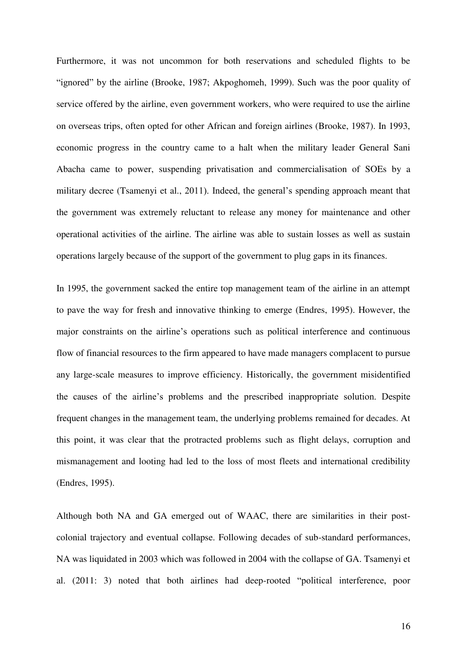Furthermore, it was not uncommon for both reservations and scheduled flights to be "ignored" by the airline (Brooke, 1987; Akpoghomeh, 1999). Such was the poor quality of service offered by the airline, even government workers, who were required to use the airline on overseas trips, often opted for other African and foreign airlines (Brooke, 1987). In 1993, economic progress in the country came to a halt when the military leader General Sani Abacha came to power, suspending privatisation and commercialisation of SOEs by a military decree (Tsamenyi et al., 2011). Indeed, the general's spending approach meant that the government was extremely reluctant to release any money for maintenance and other operational activities of the airline. The airline was able to sustain losses as well as sustain operations largely because of the support of the government to plug gaps in its finances.

In 1995, the government sacked the entire top management team of the airline in an attempt to pave the way for fresh and innovative thinking to emerge (Endres, 1995). However, the major constraints on the airline's operations such as political interference and continuous flow of financial resources to the firm appeared to have made managers complacent to pursue any large-scale measures to improve efficiency. Historically, the government misidentified the causes of the airline's problems and the prescribed inappropriate solution. Despite frequent changes in the management team, the underlying problems remained for decades. At this point, it was clear that the protracted problems such as flight delays, corruption and mismanagement and looting had led to the loss of most fleets and international credibility (Endres, 1995).

Although both NA and GA emerged out of WAAC, there are similarities in their postcolonial trajectory and eventual collapse. Following decades of sub-standard performances, NA was liquidated in 2003 which was followed in 2004 with the collapse of GA. Tsamenyi et al. (2011: 3) noted that both airlines had deep-rooted "political interference, poor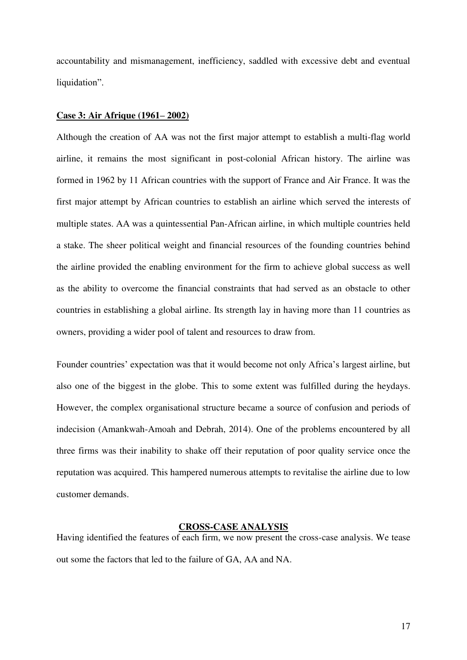accountability and mismanagement, inefficiency, saddled with excessive debt and eventual liquidation".

## **Case 3: Air Afrique (1961***–* **2002)**

Although the creation of AA was not the first major attempt to establish a multi-flag world airline, it remains the most significant in post-colonial African history. The airline was formed in 1962 by 11 African countries with the support of France and Air France. It was the first major attempt by African countries to establish an airline which served the interests of multiple states. AA was a quintessential Pan-African airline, in which multiple countries held a stake. The sheer political weight and financial resources of the founding countries behind the airline provided the enabling environment for the firm to achieve global success as well as the ability to overcome the financial constraints that had served as an obstacle to other countries in establishing a global airline. Its strength lay in having more than 11 countries as owners, providing a wider pool of talent and resources to draw from.

Founder countries' expectation was that it would become not only Africa's largest airline, but also one of the biggest in the globe. This to some extent was fulfilled during the heydays. However, the complex organisational structure became a source of confusion and periods of indecision (Amankwah-Amoah and Debrah, 2014). One of the problems encountered by all three firms was their inability to shake off their reputation of poor quality service once the reputation was acquired. This hampered numerous attempts to revitalise the airline due to low customer demands.

## **CROSS-CASE ANALYSIS**

Having identified the features of each firm, we now present the cross-case analysis. We tease out some the factors that led to the failure of GA, AA and NA.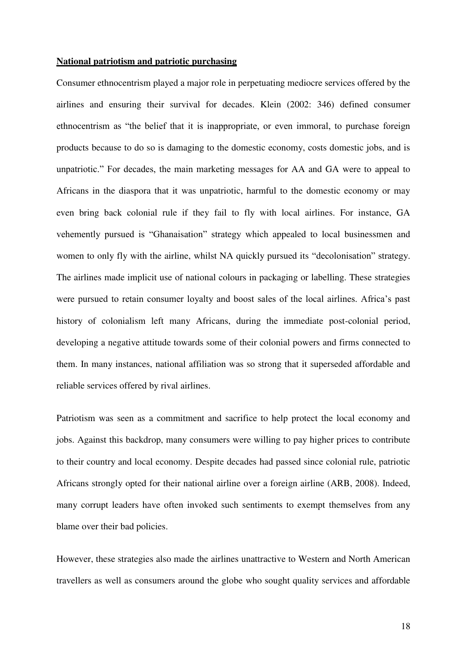### **National patriotism and patriotic purchasing**

Consumer ethnocentrism played a major role in perpetuating mediocre services offered by the airlines and ensuring their survival for decades. Klein (2002: 346) defined consumer ethnocentrism as "the belief that it is inappropriate, or even immoral, to purchase foreign products because to do so is damaging to the domestic economy, costs domestic jobs, and is unpatriotic." For decades, the main marketing messages for AA and GA were to appeal to Africans in the diaspora that it was unpatriotic, harmful to the domestic economy or may even bring back colonial rule if they fail to fly with local airlines. For instance, GA vehemently pursued is "Ghanaisation" strategy which appealed to local businessmen and women to only fly with the airline, whilst NA quickly pursued its "decolonisation" strategy. The airlines made implicit use of national colours in packaging or labelling. These strategies were pursued to retain consumer loyalty and boost sales of the local airlines. Africa's past history of colonialism left many Africans, during the immediate post-colonial period, developing a negative attitude towards some of their colonial powers and firms connected to them. In many instances, national affiliation was so strong that it superseded affordable and reliable services offered by rival airlines.

Patriotism was seen as a commitment and sacrifice to help protect the local economy and jobs. Against this backdrop, many consumers were willing to pay higher prices to contribute to their country and local economy. Despite decades had passed since colonial rule, patriotic Africans strongly opted for their national airline over a foreign airline (ARB, 2008). Indeed, many corrupt leaders have often invoked such sentiments to exempt themselves from any blame over their bad policies.

However, these strategies also made the airlines unattractive to Western and North American travellers as well as consumers around the globe who sought quality services and affordable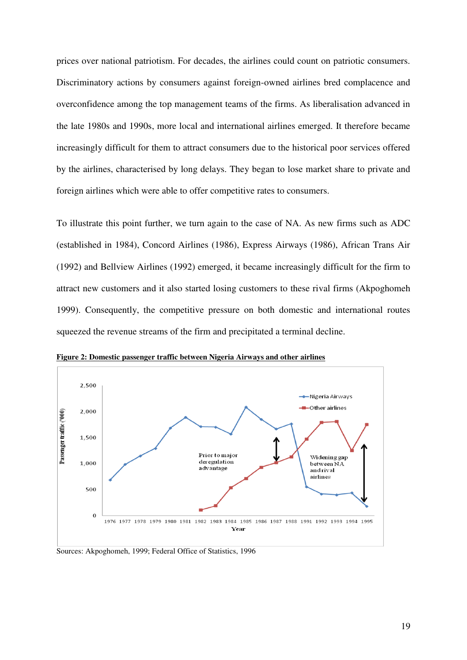prices over national patriotism. For decades, the airlines could count on patriotic consumers. Discriminatory actions by consumers against foreign-owned airlines bred complacence and overconfidence among the top management teams of the firms. As liberalisation advanced in the late 1980s and 1990s, more local and international airlines emerged. It therefore became increasingly difficult for them to attract consumers due to the historical poor services offered by the airlines, characterised by long delays. They began to lose market share to private and foreign airlines which were able to offer competitive rates to consumers.

To illustrate this point further, we turn again to the case of NA. As new firms such as ADC (established in 1984), Concord Airlines (1986), Express Airways (1986), African Trans Air (1992) and Bellview Airlines (1992) emerged, it became increasingly difficult for the firm to attract new customers and it also started losing customers to these rival firms (Akpoghomeh 1999). Consequently, the competitive pressure on both domestic and international routes squeezed the revenue streams of the firm and precipitated a terminal decline.



**Figure 2: Domestic passenger traffic between Nigeria Airways and other airlines** 

Sources: Akpoghomeh, 1999; Federal Office of Statistics, 1996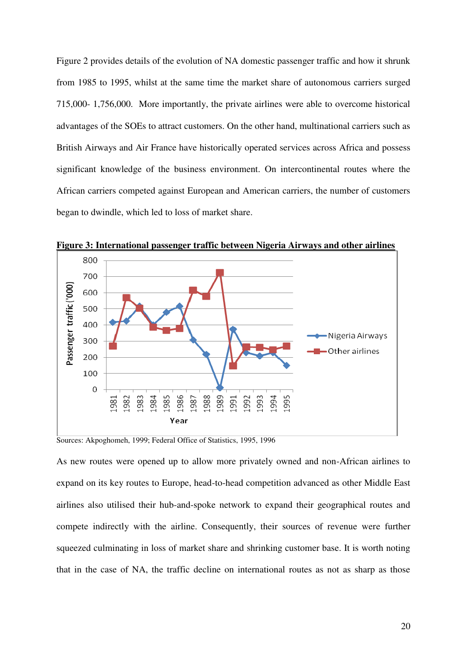Figure 2 provides details of the evolution of NA domestic passenger traffic and how it shrunk from 1985 to 1995, whilst at the same time the market share of autonomous carriers surged 715,000- 1,756,000. More importantly, the private airlines were able to overcome historical advantages of the SOEs to attract customers. On the other hand, multinational carriers such as British Airways and Air France have historically operated services across Africa and possess significant knowledge of the business environment. On intercontinental routes where the African carriers competed against European and American carriers, the number of customers began to dwindle, which led to loss of market share.



**Figure 3: International passenger traffic between Nigeria Airways and other airlines** 

Sources: Akpoghomeh, 1999; Federal Office of Statistics, 1995, 1996

As new routes were opened up to allow more privately owned and non-African airlines to expand on its key routes to Europe, head-to-head competition advanced as other Middle East airlines also utilised their hub-and-spoke network to expand their geographical routes and compete indirectly with the airline. Consequently, their sources of revenue were further squeezed culminating in loss of market share and shrinking customer base. It is worth noting that in the case of NA, the traffic decline on international routes as not as sharp as those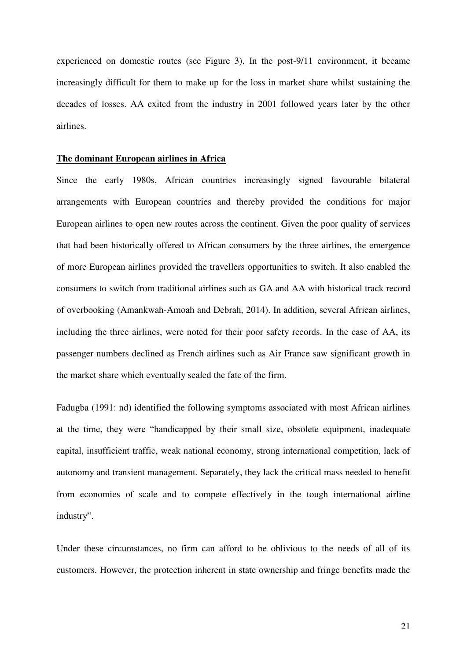experienced on domestic routes (see Figure 3). In the post-9/11 environment, it became increasingly difficult for them to make up for the loss in market share whilst sustaining the decades of losses. AA exited from the industry in 2001 followed years later by the other airlines.

## **The dominant European airlines in Africa**

Since the early 1980s, African countries increasingly signed favourable bilateral arrangements with European countries and thereby provided the conditions for major European airlines to open new routes across the continent. Given the poor quality of services that had been historically offered to African consumers by the three airlines, the emergence of more European airlines provided the travellers opportunities to switch. It also enabled the consumers to switch from traditional airlines such as GA and AA with historical track record of overbooking (Amankwah-Amoah and Debrah, 2014). In addition, several African airlines, including the three airlines, were noted for their poor safety records. In the case of AA, its passenger numbers declined as French airlines such as Air France saw significant growth in the market share which eventually sealed the fate of the firm.

Fadugba (1991: nd) identified the following symptoms associated with most African airlines at the time, they were "handicapped by their small size, obsolete equipment, inadequate capital, insufficient traffic, weak national economy, strong international competition, lack of autonomy and transient management. Separately, they lack the critical mass needed to benefit from economies of scale and to compete effectively in the tough international airline industry".

Under these circumstances, no firm can afford to be oblivious to the needs of all of its customers. However, the protection inherent in state ownership and fringe benefits made the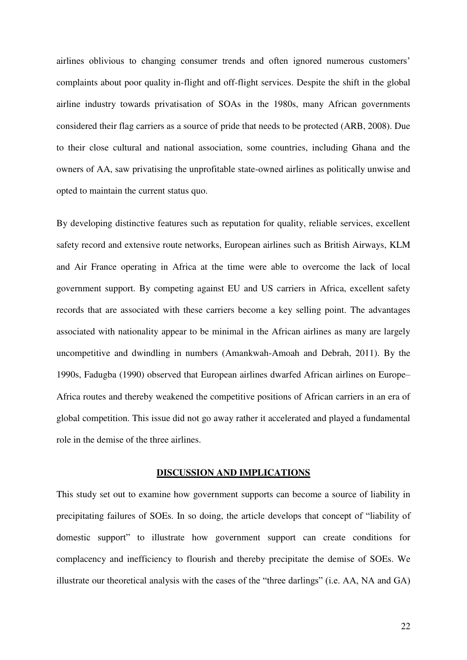airlines oblivious to changing consumer trends and often ignored numerous customers' complaints about poor quality in-flight and off-flight services. Despite the shift in the global airline industry towards privatisation of SOAs in the 1980s, many African governments considered their flag carriers as a source of pride that needs to be protected (ARB, 2008). Due to their close cultural and national association, some countries, including Ghana and the owners of AA, saw privatising the unprofitable state-owned airlines as politically unwise and opted to maintain the current status quo.

By developing distinctive features such as reputation for quality, reliable services, excellent safety record and extensive route networks, European airlines such as British Airways, KLM and Air France operating in Africa at the time were able to overcome the lack of local government support. By competing against EU and US carriers in Africa, excellent safety records that are associated with these carriers become a key selling point. The advantages associated with nationality appear to be minimal in the African airlines as many are largely uncompetitive and dwindling in numbers (Amankwah-Amoah and Debrah, 2011). By the 1990s, Fadugba (1990) observed that European airlines dwarfed African airlines on Europe– Africa routes and thereby weakened the competitive positions of African carriers in an era of global competition. This issue did not go away rather it accelerated and played a fundamental role in the demise of the three airlines.

#### **DISCUSSION AND IMPLICATIONS**

This study set out to examine how government supports can become a source of liability in precipitating failures of SOEs. In so doing, the article develops that concept of "liability of domestic support" to illustrate how government support can create conditions for complacency and inefficiency to flourish and thereby precipitate the demise of SOEs. We illustrate our theoretical analysis with the cases of the "three darlings" (i.e. AA, NA and GA)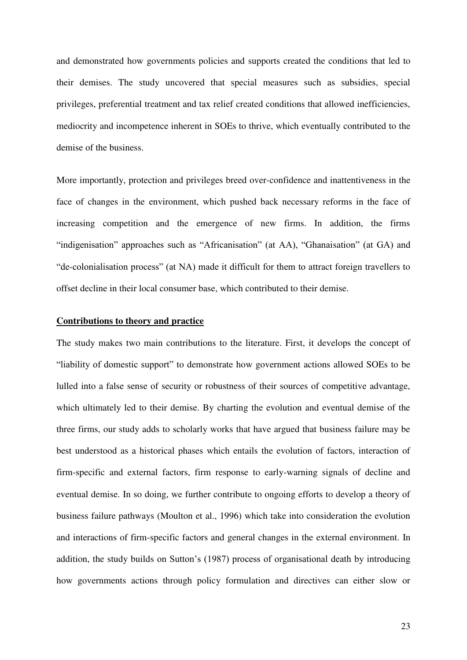and demonstrated how governments policies and supports created the conditions that led to their demises. The study uncovered that special measures such as subsidies, special privileges, preferential treatment and tax relief created conditions that allowed inefficiencies, mediocrity and incompetence inherent in SOEs to thrive, which eventually contributed to the demise of the business.

More importantly, protection and privileges breed over-confidence and inattentiveness in the face of changes in the environment, which pushed back necessary reforms in the face of increasing competition and the emergence of new firms. In addition, the firms "indigenisation" approaches such as "Africanisation" (at AA), "Ghanaisation" (at GA) and "de-colonialisation process" (at NA) made it difficult for them to attract foreign travellers to offset decline in their local consumer base, which contributed to their demise.

## **Contributions to theory and practice**

The study makes two main contributions to the literature. First, it develops the concept of "liability of domestic support" to demonstrate how government actions allowed SOEs to be lulled into a false sense of security or robustness of their sources of competitive advantage, which ultimately led to their demise. By charting the evolution and eventual demise of the three firms, our study adds to scholarly works that have argued that business failure may be best understood as a historical phases which entails the evolution of factors, interaction of firm-specific and external factors, firm response to early-warning signals of decline and eventual demise. In so doing, we further contribute to ongoing efforts to develop a theory of business failure pathways (Moulton et al., 1996) which take into consideration the evolution and interactions of firm-specific factors and general changes in the external environment. In addition, the study builds on Sutton's (1987) process of organisational death by introducing how governments actions through policy formulation and directives can either slow or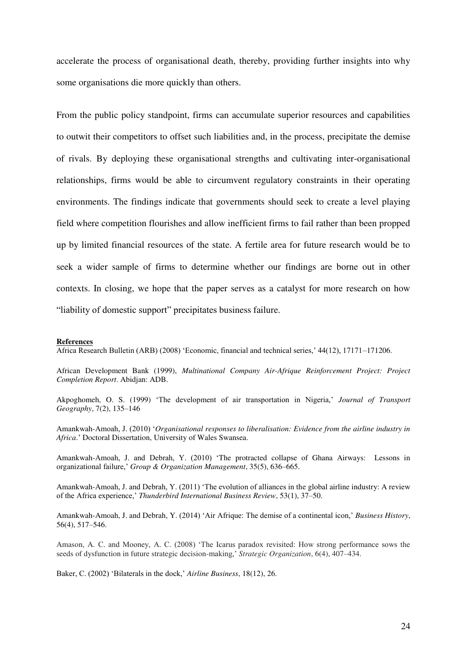accelerate the process of organisational death, thereby, providing further insights into why some organisations die more quickly than others.

From the public policy standpoint, firms can accumulate superior resources and capabilities to outwit their competitors to offset such liabilities and, in the process, precipitate the demise of rivals. By deploying these organisational strengths and cultivating inter-organisational relationships, firms would be able to circumvent regulatory constraints in their operating environments. The findings indicate that governments should seek to create a level playing field where competition flourishes and allow inefficient firms to fail rather than been propped up by limited financial resources of the state. A fertile area for future research would be to seek a wider sample of firms to determine whether our findings are borne out in other contexts. In closing, we hope that the paper serves as a catalyst for more research on how "liability of domestic support" precipitates business failure.

#### **References**

Africa Research Bulletin (ARB) (2008) 'Economic, financial and technical series,' 44(12), 17171–171206.

African Development Bank (1999), *Multinational Company Air-Afrique Reinforcement Project: Project Completion Report*. Abidjan: ADB.

Akpoghomeh, O. S. (1999) 'The development of air transportation in Nigeria,' *Journal of Transport Geography*, 7(2), 135–146

Amankwah-Amoah, J. (2010) '*Organisational responses to liberalisation: Evidence from the airline industry in Africa*.' Doctoral Dissertation, University of Wales Swansea.

Amankwah-Amoah, J. and Debrah, Y. (2010) 'The protracted collapse of Ghana Airways: Lessons in organizational failure,' *Group & Organization Management*, 35(5), 636–665.

Amankwah-Amoah, J. and Debrah, Y. (2011) 'The evolution of alliances in the global airline industry: A review of the Africa experience,' *Thunderbird International Business Review*, 53(1), 37–50.

Amankwah-Amoah, J. and Debrah, Y. (2014) 'Air Afrique: The demise of a continental icon,' *Business History*, 56(4), 517–546.

Amason, A. C. and Mooney, A. C. (2008) 'The Icarus paradox revisited: How strong performance sows the seeds of dysfunction in future strategic decision-making,' *Strategic Organization*, 6(4), 407–434.

Baker, C. (2002) 'Bilaterals in the dock,' *Airline Business*, 18(12), 26.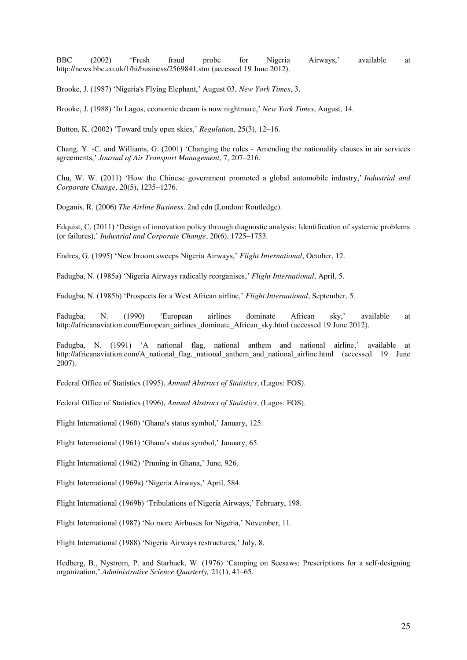BBC (2002) 'Fresh fraud probe for Nigeria Airways,' available at http://news.bbc.co.uk/1/hi/business/2569841.stm (accessed 19 June 2012).

Brooke, J. (1987) 'Nigeria's Flying Elephant,' August 03, *New York Times*, 3.

Brooke, J. (1988) 'In Lagos, economic dream is now nightmare,' *New York Times*, August, 14.

Button, K. (2002) 'Toward truly open skies,' *Regulatio*n, 25(3), 12–16.

Chang, Y. -C. and Williams, G. (2001) 'Changing the rules - Amending the nationality clauses in air services agreements,' *Journal of Air Transport Management*, 7, 207–216.

Chu, W. W. (2011) 'How the Chinese government promoted a global automobile industry,' *Industrial and Corporate Change*, 20(5), 1235–1276.

Doganis, R. (2006) *The Airline Business*. 2nd edn (London: Routledge).

Edquist, C. (2011) 'Design of innovation policy through diagnostic analysis: Identification of systemic problems (or failures),' *Industrial and Corporate Change*, 20(6), 1725–1753.

Endres, G. (1995) 'New broom sweeps Nigeria Airways,' *Flight International*, October, 12.

Fadugba, N. (1985a) 'Nigeria Airways radically reorganises,' *Flight International*, April, 5.

Fadugba, N. (1985b) 'Prospects for a West African airline,' *Flight International*, September, 5.

Fadugba, N. (1990) 'European airlines dominate African sky,' available at http://africanaviation.com/European\_airlines\_dominate\_African\_sky.html (accessed 19 June 2012).

Fadugba, N. (1991) 'A national flag, national anthem and national airline,' available at http://africanaviation.com/A\_national\_flag,\_national\_anthem\_and\_national\_airline.html (accessed 19 June 2007).

Federal Office of Statistics (1995), *Annual Abstract of Statistics*, (Lagos: FOS).

Federal Office of Statistics (1996), *Annual Abstract of Statistics*, (Lagos: FOS).

Flight International (1960) 'Ghana's status symbol,' January, 125.

Flight International (1961) 'Ghana's status symbol,' January, 65.

Flight International (1962) 'Pruning in Ghana,' June, 926.

Flight International (1969a) 'Nigeria Airways,' April, 584.

Flight International (1969b) 'Tribulations of Nigeria Airways,' February, 198.

Flight International (1987) 'No more Airbuses for Nigeria,' November, 11.

Flight International (1988) 'Nigeria Airways restructures,' July, 8.

Hedberg, B., Nystrom, P. and Starbuck, W. (1976) 'Camping on Seesaws: Prescriptions for a self-designing organization,' *Administrative Science Quarterly,* 21(1), 41–65.